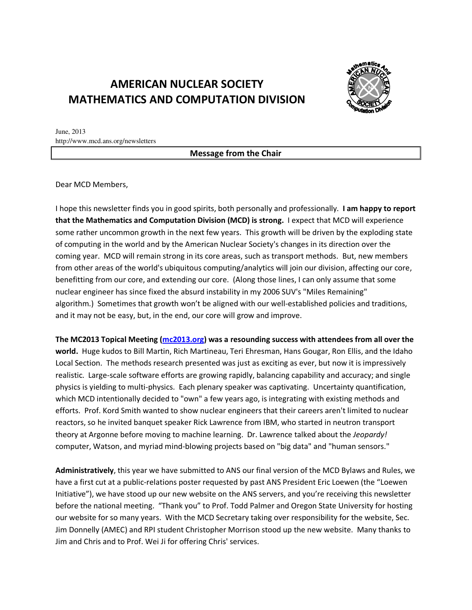# **AMERICAN NUCLEAR SOCIETY MATHEMATICS AND COMPUTATION DIVISION**



June, 2013 http://www.mcd.ans.org/newsletters

**Message from the Chair** 

Dear MCD Members,

I hope this newsletter finds you in good spirits, both personally and professionally. I am happy to report that the Mathematics and Computation Division (MCD) is strong. I expect that MCD will experience some rather uncommon growth in the next few years. This growth will be driven by the exploding state of computing in the world and by the American Nuclear Society's changes in its direction over the coming year. MCD will remain strong in its core areas, such as transport methods. But, new members from other areas of the world's ubiquitous computing/analytics will join our division, affecting our core, benefitting from our core, and extending our core. (Along those lines, I can only assume that some nuclear engineer has since fixed the absurd instability in my 2006 SUV's "Miles Remaining" algorithm.) Sometimes that growth won't be aligned with our well-established policies and traditions, and it may not be easy, but, in the end, our core will grow and improve.

The MC2013 Topical Meeting (mc2013.org) was a resounding success with attendees from all over the world. Huge kudos to Bill Martin, Rich Martineau, Teri Ehresman, Hans Gougar, Ron Ellis, and the Idaho Local Section. The methods research presented was just as exciting as ever, but now it is impressively realistic. Large-scale software efforts are growing rapidly, balancing capability and accuracy; and single physics is yielding to multi-physics. Each plenary speaker was captivating. Uncertainty quantification, which MCD intentionally decided to "own" a few years ago, is integrating with existing methods and efforts. Prof. Kord Smith wanted to show nuclear engineers that their careers aren't limited to nuclear reactors, so he invited banquet speaker Rick Lawrence from IBM, who started in neutron transport theory at Argonne before moving to machine learning. Dr. Lawrence talked about the *Jeopardy!* computer, Watson, and myriad mind-blowing projects based on "big data" and "human sensors."

Administratively, this year we have submitted to ANS our final version of the MCD Bylaws and Rules, we have a first cut at a public-relations poster requested by past ANS President Eric Loewen (the "Loewen Initiative"), we have stood up our new website on the ANS servers, and you're receiving this newsletter before the national meeting. "Thank you" to Prof. Todd Palmer and Oregon State University for hosting our website for so many years. With the MCD Secretary taking over responsibility for the website, Sec. Jim Donnelly (AMEC) and RPI student Christopher Morrison stood up the new website. Many thanks to Jim and Chris and to Prof. Wei Ji for offering Chris' services.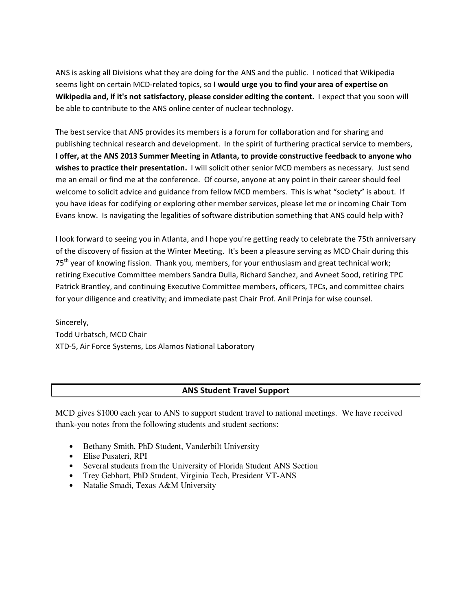ANS is asking all Divisions what they are doing for the ANS and the public. I noticed that Wikipedia seems light on certain MCD-related topics, so I would urge you to find your area of expertise on Wikipedia and, if it's not satisfactory, please consider editing the content. I expect that you soon will be able to contribute to the ANS online center of nuclear technology.

The best service that ANS provides its members is a forum for collaboration and for sharing and publishing technical research and development. In the spirit of furthering practical service to members, I offer, at the ANS 2013 Summer Meeting in Atlanta, to provide constructive feedback to anyone who wishes to practice their presentation. I will solicit other senior MCD members as necessary. Just send me an email or find me at the conference. Of course, anyone at any point in their career should feel welcome to solicit advice and guidance from fellow MCD members. This is what "society" is about. If you have ideas for codifying or exploring other member services, please let me or incoming Chair Ton Evans know. Is navigating the legalities of software distribution something that ANS could help with?

I look forward to seeing you in Atlanta, and I hope you're getting ready to celebrate the 75th anniversary of the discovery of fission at the Winter Meeting. It's been a pleasure serving as MCD Chair during this 75<sup>th</sup> year of knowing fission. Thank you, members, for your enthusiasm and great technical work; retiring Executive Committee members Sandra Dulla, Richard Sanchez, and Avneet Sood, retiring TPC Patrick Brantley, and continuing Executive Committee members, officers, TPCs, and committee chairs for your diligence and creativity; and immediate past Chair Prof. Anil Prinja for wise counsel.

Sincerely, Todd Urbatsch, MCD Chair XTD-5, Air Force Systems, Los Alamos National Laboratory

### **ANS Student Travel Support**

MCD gives \$1000 each year to ANS to support student travel to national meetings. We have received thank-you notes from the following students and student sections:

- Bethany Smith, PhD Student, Vanderbilt University
- Elise Pusateri, RPI
- Several students from the University of Florida Student ANS Section
- Trey Gebhart, PhD Student, Virginia Tech, President VT-ANS
- Natalie Smadi, Texas A&M University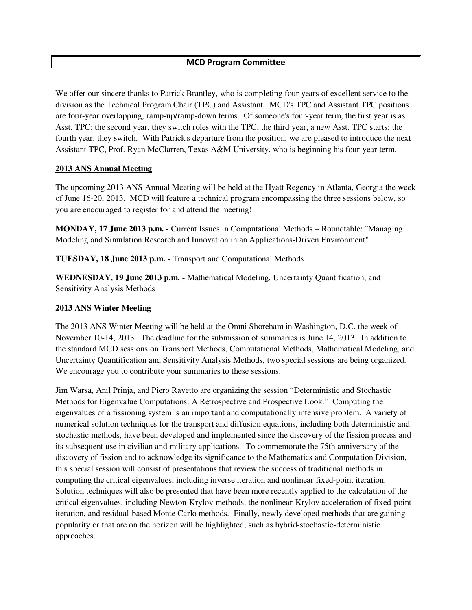### **MCD Program Committee**

We offer our sincere thanks to Patrick Brantley, who is completing four years of excellent service to the division as the Technical Program Chair (TPC) and Assistant. MCD's TPC and Assistant TPC positions are four-year overlapping, ramp-up/ramp-down terms. Of someone's four-year term, the first year is as Asst. TPC; the second year, they switch roles with the TPC; the third year, a new Asst. TPC starts; the fourth year, they switch. With Patrick's departure from the position, we are pleased to introduce the next Assistant TPC, Prof. Ryan McClarren, Texas A&M University, who is beginning his four-year term.

#### **2013 ANS Annual Meeting**

The upcoming 2013 ANS Annual Meeting will be held at the Hyatt Regency in Atlanta, Georgia the week of June 16-20, 2013. MCD will feature a technical program encompassing the three sessions below, so you are encouraged to register for and attend the meeting!

**MONDAY, 17 June 2013 p.m. -** Current Issues in Computational Methods – Roundtable: "Managing Modeling and Simulation Research and Innovation in an Applications-Driven Environment"

**TUESDAY, 18 June 2013 p.m. -** Transport and Computational Methods

**WEDNESDAY, 19 June 2013 p.m. -** Mathematical Modeling, Uncertainty Quantification, and Sensitivity Analysis Methods

#### **2013 ANS Winter Meeting**

The 2013 ANS Winter Meeting will be held at the Omni Shoreham in Washington, D.C. the week of November 10-14, 2013. The deadline for the submission of summaries is June 14, 2013. In addition to the standard MCD sessions on Transport Methods, Computational Methods, Mathematical Modeling, and Uncertainty Quantification and Sensitivity Analysis Methods, two special sessions are being organized. We encourage you to contribute your summaries to these sessions.

Jim Warsa, Anil Prinja, and Piero Ravetto are organizing the session "Deterministic and Stochastic Methods for Eigenvalue Computations: A Retrospective and Prospective Look." Computing the eigenvalues of a fissioning system is an important and computationally intensive problem. A variety of numerical solution techniques for the transport and diffusion equations, including both deterministic and stochastic methods, have been developed and implemented since the discovery of the fission process and its subsequent use in civilian and military applications. To commemorate the 75th anniversary of the discovery of fission and to acknowledge its significance to the Mathematics and Computation Division, this special session will consist of presentations that review the success of traditional methods in computing the critical eigenvalues, including inverse iteration and nonlinear fixed-point iteration. Solution techniques will also be presented that have been more recently applied to the calculation of the critical eigenvalues, including Newton-Krylov methods, the nonlinear-Krylov acceleration of fixed-point iteration, and residual-based Monte Carlo methods. Finally, newly developed methods that are gaining popularity or that are on the horizon will be highlighted, such as hybrid-stochastic-deterministic approaches.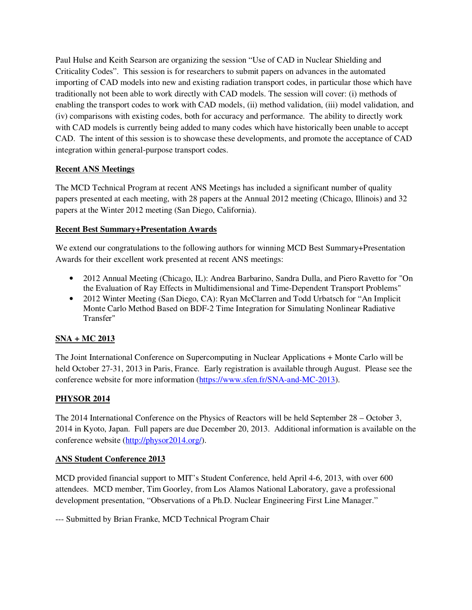Paul Hulse and Keith Searson are organizing the session "Use of CAD in Nuclear Shielding and Criticality Codes". This session is for researchers to submit papers on advances in the automated importing of CAD models into new and existing radiation transport codes, in particular those which have traditionally not been able to work directly with CAD models. The session will cover: (i) methods of enabling the transport codes to work with CAD models, (ii) method validation, (iii) model validation, and (iv) comparisons with existing codes, both for accuracy and performance. The ability to directly work with CAD models is currently being added to many codes which have historically been unable to accept CAD. The intent of this session is to showcase these developments, and promote the acceptance of CAD integration within general-purpose transport codes.

## **Recent ANS Meetings**

The MCD Technical Program at recent ANS Meetings has included a significant number of quality papers presented at each meeting, with 28 papers at the Annual 2012 meeting (Chicago, Illinois) and 32 papers at the Winter 2012 meeting (San Diego, California).

### **Recent Best Summary+Presentation Awards**

We extend our congratulations to the following authors for winning MCD Best Summary+Presentation Awards for their excellent work presented at recent ANS meetings:

- 2012 Annual Meeting (Chicago, IL): Andrea Barbarino, Sandra Dulla, and Piero Ravetto for "On the Evaluation of Ray Effects in Multidimensional and Time-Dependent Transport Problems"
- 2012 Winter Meeting (San Diego, CA): Ryan McClarren and Todd Urbatsch for "An Implicit" Monte Carlo Method Based on BDF-2 Time Integration for Simulating Nonlinear Radiative Transfer"

# **SNA + MC 2013**

The Joint International Conference on Supercomputing in Nuclear Applications + Monte Carlo will be held October 27-31, 2013 in Paris, France. Early registration is available through August. Please see the conference website for more information (https://www.sfen.fr/SNA-and-MC-2013).

# **PHYSOR 2014**

The 2014 International Conference on the Physics of Reactors will be held September 28 – October 3, 2014 in Kyoto, Japan. Full papers are due December 20, 2013. Additional information is available on the conference website (http://physor2014.org/).

### **ANS Student Conference 2013**

MCD provided financial support to MIT's Student Conference, held April 4-6, 2013, with over 600 attendees. MCD member, Tim Goorley, from Los Alamos National Laboratory, gave a professional development presentation, "Observations of a Ph.D. Nuclear Engineering First Line Manager."

--- Submitted by Brian Franke, MCD Technical Program Chair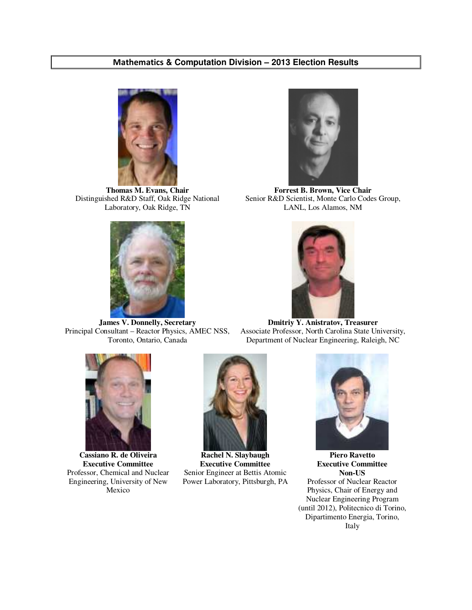#### - **& Computation Division – 2013 Election Results**



**Thomas M. Evans, Chair** Distinguished R&D Staff, Oak Ridge National Laboratory, Oak Ridge, TN



**James V. Donnelly, Secretary** Principal Consultant – Reactor Physics, AMEC NSS, Toronto, Ontario, Canada



**Forrest B. Brown, Vice Chair** Senior R&D Scientist, Monte Carlo Codes Group, LANL, Los Alamos, NM



**Dmitriy Y. Anistratov, Treasurer** Associate Professor, North Carolina State University, Department of Nuclear Engineering, Raleigh, NC



**Cassiano R. de Oliveira Executive Committee** Professor, Chemical and Nuclear Engineering, University of New Mexico



**Rachel N. Slaybaugh Executive Committee** Senior Engineer at Bettis Atomic Power Laboratory, Pittsburgh, PA



**Piero Ravetto Executive Committee Non-US** Professor of Nuclear Reactor Physics, Chair of Energy and Nuclear Engineering Program (until 2012), Politecnico di Torino, Dipartimento Energia, Torino, Italy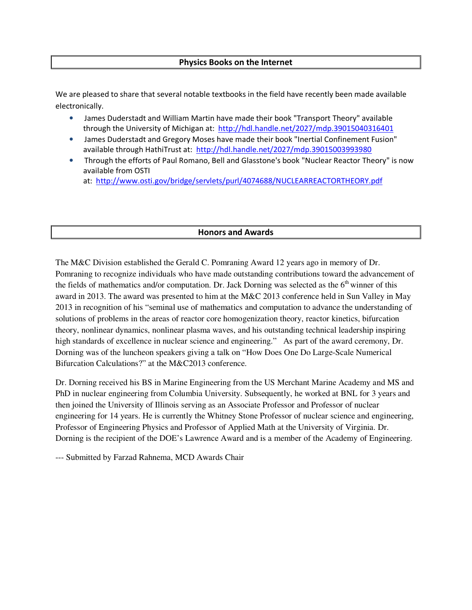#### Physics Books on the Internet

We are pleased to share that several notable textbooks in the field have recently been made available electronically.

- . James Duderstadt and William Martin have made their book "Transport Theory" available through the University of Michigan at: http://hdl.handle.net/2027/mdp.39015040316401
- James Duderstadt and Gregory Moses have made their book "Inertial Confinement Fusion" available through HathiTrust at: http://hdl.handle.net/2027/mdp.39015003993980
- Through the efforts of Paul Romano, Bell and Glasstone's book "Nuclear Reactor Theory" is now available from OSTI

at: http://www.osti.gov/bridge/servlets/purl/4074688/NUCLEARREACTORTHEORY.pdf

#### **Honors and Awards**

The M&C Division established the Gerald C. Pomraning Award 12 years ago in memory of Dr. Pomraning to recognize individuals who have made outstanding contributions toward the advancement of the fields of mathematics and/or computation. Dr. Jack Dorning was selected as the 6<sup>th</sup> winner of this award in 2013. The award was presented to him at the M&C 2013 conference held in Sun Valley in May 2013 in recognition of his "seminal use of mathematics and computation to advance the understanding of solutions of problems in the areas of reactor core homogenization theory, reactor kinetics, bifurcation theory, nonlinear dynamics, nonlinear plasma waves, and his outstanding technical leadership inspiring high standards of excellence in nuclear science and engineering." As part of the award ceremony, Dr. Dorning was of the luncheon speakers giving a talk on "How Does One Do Large-Scale Numerical Bifurcation Calculations?" at the M&C2013 conference.

Dr. Dorning received his BS in Marine Engineering from the US Merchant Marine Academy and MS and PhD in nuclear engineering from Columbia University. Subsequently, he worked at BNL for 3 years and then joined the University of Illinois serving as an Associate Professor and Professor of nuclear engineering for 14 years. He is currently the Whitney Stone Professor of nuclear science and engineering, Professor of Engineering Physics and Professor of Applied Math at the University of Virginia. Dr. Dorning is the recipient of the DOE's Lawrence Award and is a member of the Academy of Engineering.

--- Submitted by Farzad Rahnema, MCD Awards Chair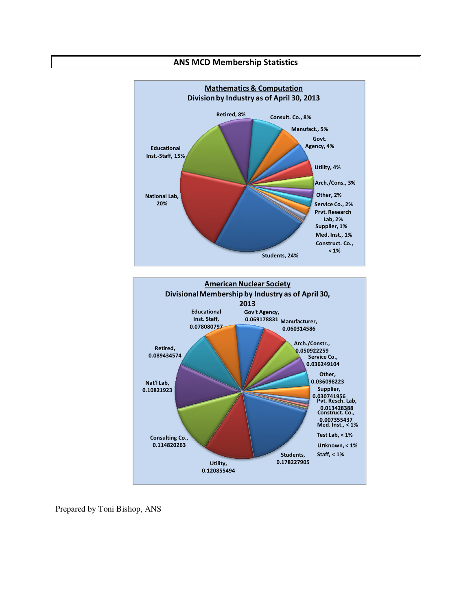

#### **American Nuclear Society** Divisional Membership by Industry as of April 30, 2013 Gov't Agency, **Educational** 0.069178831 Manufacturer, Inst. Staff, 0.078080797 0.060314586 Arch./Constr., Retired, 0.050922259<br>Service Co., 0.089434574 0.036249104 Other, 0.036098223 Nat'l Lab, Supplier, 0.10821923 0.030741956<br>Pvt. Resch. Lab, 0.013428388<br>Construct. Co., 0.007355437<br>Med. Inst., < 1% Test Lab,  $<$  1% Consulting Co., 0.114820263 Unknown, < 1% Staff,  $< 1\%$ Students, 0.178227905 Utility, 0.120855494

Prepared by Toni Bishop, ANS

#### **ANS MCD Membership Statistics**